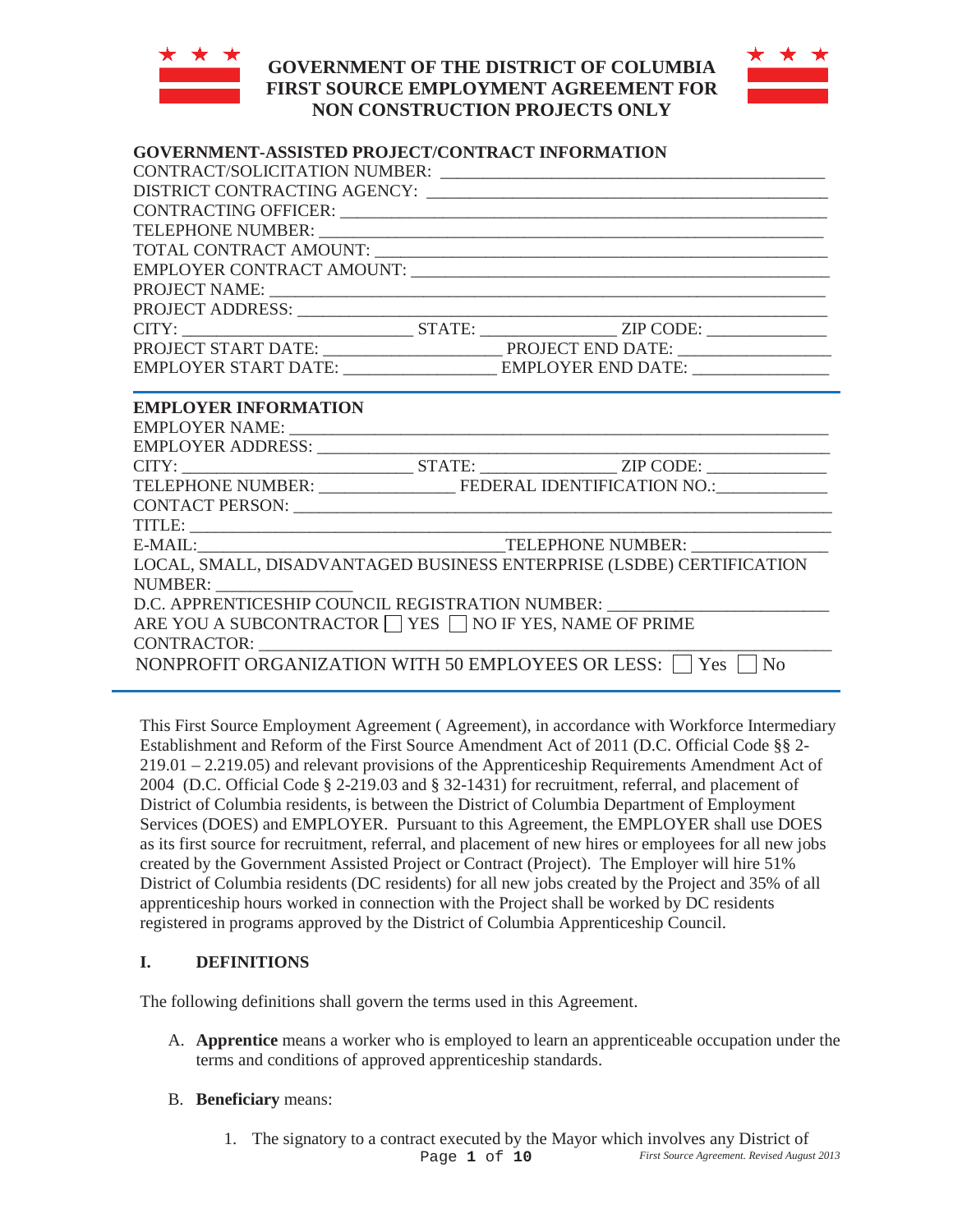

# **GOVERNMENT OF THE DISTRICT OF COLUMBIA FIRST SOURCE EMPLOYMENT AGREEMENT FOR NON CONSTRUCTION PROJECTS ONLY**



# **GOVERNMENT-ASSISTED PROJECT/CONTRACT INFORMATION**

|                                                          | CONTRACT/SOLICITATION NUMBER:                                                                                                                                                                                                  |
|----------------------------------------------------------|--------------------------------------------------------------------------------------------------------------------------------------------------------------------------------------------------------------------------------|
|                                                          |                                                                                                                                                                                                                                |
|                                                          | CONTRACTING OFFICER: LEADER AND THE SERVICE OF THE SERVICE OF THE SERVICE OF THE SERVICE OF THE SERVICE OF THE SERVICE OF THE SERVICE OF THE SERVICE OF THE SERVICE OF THE SERVICE OF THE SERVICE OF THE SERVICE OF THE SERVIC |
|                                                          |                                                                                                                                                                                                                                |
|                                                          |                                                                                                                                                                                                                                |
|                                                          |                                                                                                                                                                                                                                |
|                                                          |                                                                                                                                                                                                                                |
|                                                          |                                                                                                                                                                                                                                |
|                                                          |                                                                                                                                                                                                                                |
|                                                          |                                                                                                                                                                                                                                |
|                                                          |                                                                                                                                                                                                                                |
| <b>EMPLOYER INFORMATION</b>                              |                                                                                                                                                                                                                                |
|                                                          |                                                                                                                                                                                                                                |
|                                                          |                                                                                                                                                                                                                                |
|                                                          |                                                                                                                                                                                                                                |
|                                                          | TELEPHONE NUMBER: FEDERAL IDENTIFICATION NO.:                                                                                                                                                                                  |
|                                                          |                                                                                                                                                                                                                                |
|                                                          |                                                                                                                                                                                                                                |
|                                                          |                                                                                                                                                                                                                                |
|                                                          | LOCAL, SMALL, DISADVANTAGED BUSINESS ENTERPRISE (LSDBE) CERTIFICATION                                                                                                                                                          |
| NUMBER:                                                  |                                                                                                                                                                                                                                |
| D.C. APPRENTICESHIP COUNCIL REGISTRATION NUMBER:         |                                                                                                                                                                                                                                |
| ARE YOU A SUBCONTRACTOR ■ YES ■ NO IF YES, NAME OF PRIME |                                                                                                                                                                                                                                |
| CONTRACTOR:                                              |                                                                                                                                                                                                                                |
|                                                          | NONPROFIT ORGANIZATION WITH 50 EMPLOYEES OR LESS: $\Box$ Yes $\Box$ No                                                                                                                                                         |
|                                                          |                                                                                                                                                                                                                                |

This First Source Employment Agreement ( Agreement), in accordance with Workforce Intermediary Establishment and Reform of the First Source Amendment Act of 2011 (D.C. Official Code §§ 2- 219.01 – 2.219.05) and relevant provisions of the Apprenticeship Requirements Amendment Act of 2004 (D.C. Official Code § 2-219.03 and § 32-1431) for recruitment, referral, and placement of District of Columbia residents, is between the District of Columbia Department of Employment Services (DOES) and EMPLOYER. Pursuant to this Agreement, the EMPLOYER shall use DOES as its first source for recruitment, referral, and placement of new hires or employees for all new jobs created by the Government Assisted Project or Contract (Project). The Employer will hire 51% District of Columbia residents (DC residents) for all new jobs created by the Project and 35% of all apprenticeship hours worked in connection with the Project shall be worked by DC residents registered in programs approved by the District of Columbia Apprenticeship Council.

### **I. DEFINITIONS**

The following definitions shall govern the terms used in this Agreement.

- A. **Apprentice** means a worker who is employed to learn an apprenticeable occupation under the terms and conditions of approved apprenticeship standards.
- B. **Beneficiary** means:
	- 1. The signatory to a contract executed by the Mayor which involves any District of Page **1** of **10** *First Source Agreement. Revised August 2013*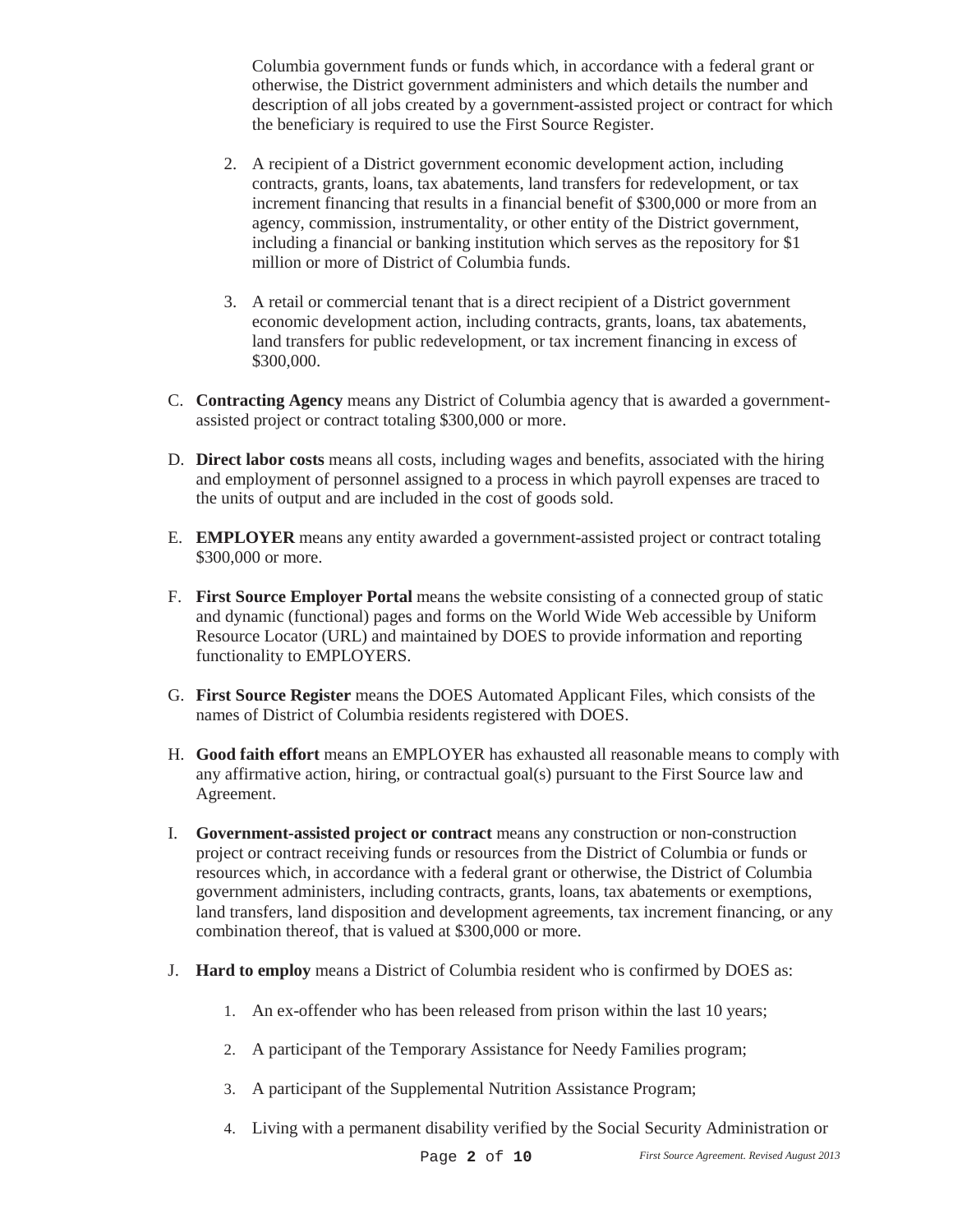Columbia government funds or funds which, in accordance with a federal grant or otherwise, the District government administers and which details the number and description of all jobs created by a government-assisted project or contract for which the beneficiary is required to use the First Source Register.

- 2. A recipient of a District government economic development action, including contracts, grants, loans, tax abatements, land transfers for redevelopment, or tax increment financing that results in a financial benefit of \$300,000 or more from an agency, commission, instrumentality, or other entity of the District government, including a financial or banking institution which serves as the repository for \$1 million or more of District of Columbia funds.
- 3. A retail or commercial tenant that is a direct recipient of a District government economic development action, including contracts, grants, loans, tax abatements, land transfers for public redevelopment, or tax increment financing in excess of \$300,000.
- C. **Contracting Agency** means any District of Columbia agency that is awarded a governmentassisted project or contract totaling \$300,000 or more.
- D. **Direct labor costs** means all costs, including wages and benefits, associated with the hiring and employment of personnel assigned to a process in which payroll expenses are traced to the units of output and are included in the cost of goods sold.
- E. **EMPLOYER** means any entity awarded a government-assisted project or contract totaling \$300,000 or more.
- F. **First Source Employer Portal** means the website consisting of a connected group of static and dynamic (functional) pages and forms on the World Wide Web accessible by Uniform Resource Locator (URL) and maintained by DOES to provide information and reporting functionality to EMPLOYERS.
- G. **First Source Register** means the DOES Automated Applicant Files, which consists of the names of District of Columbia residents registered with DOES.
- H. **Good faith effort** means an EMPLOYER has exhausted all reasonable means to comply with any affirmative action, hiring, or contractual goal(s) pursuant to the First Source law and Agreement.
- I. **Government-assisted project or contract** means any construction or non-construction project or contract receiving funds or resources from the District of Columbia or funds or resources which, in accordance with a federal grant or otherwise, the District of Columbia government administers, including contracts, grants, loans, tax abatements or exemptions, land transfers, land disposition and development agreements, tax increment financing, or any combination thereof, that is valued at \$300,000 or more.
- J. **Hard to employ** means a District of Columbia resident who is confirmed by DOES as:
	- 1. An ex-offender who has been released from prison within the last 10 years;
	- 2. A participant of the Temporary Assistance for Needy Families program;
	- 3. A participant of the Supplemental Nutrition Assistance Program;
	- 4. Living with a permanent disability verified by the Social Security Administration or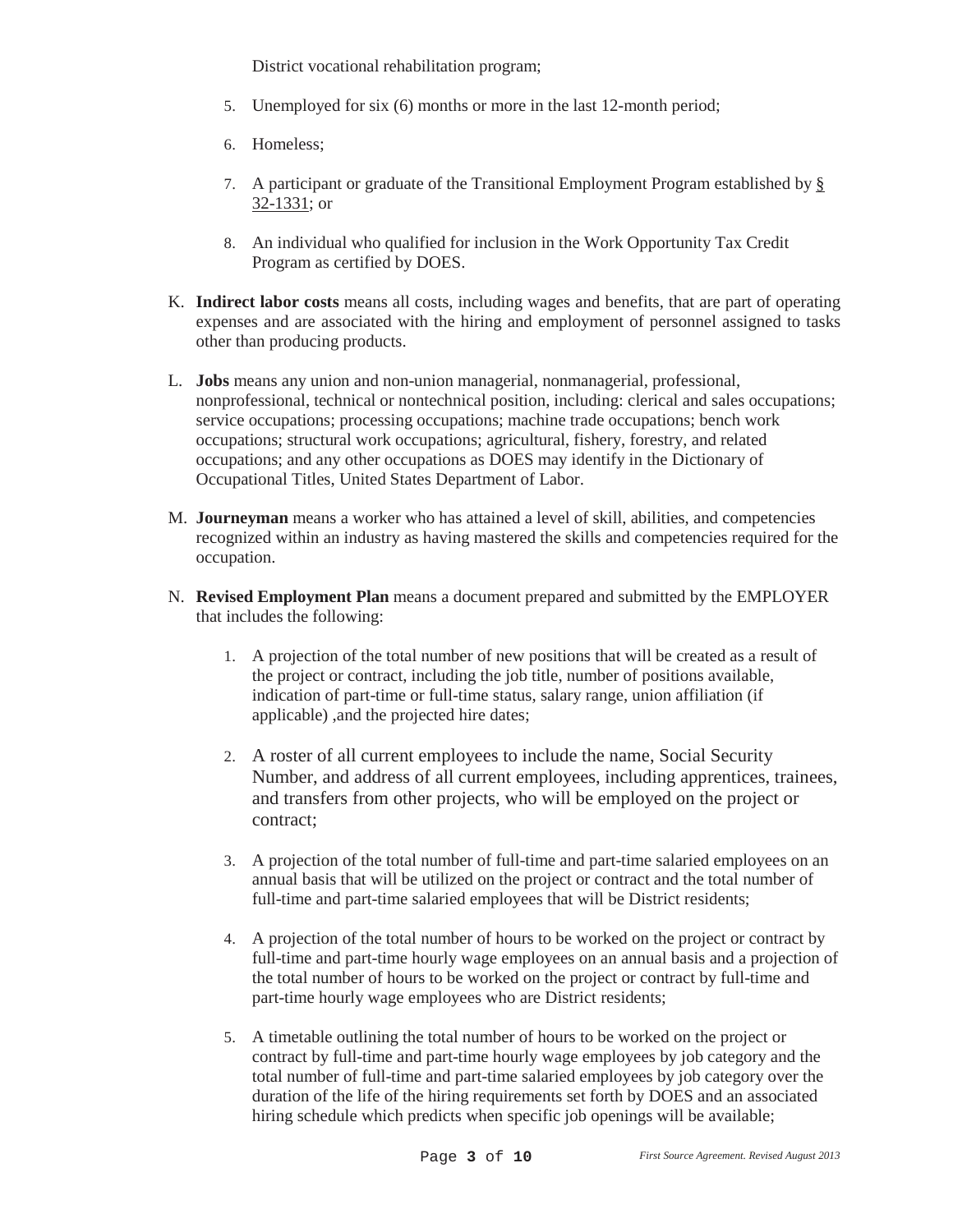District vocational rehabilitation program;

- 5. Unemployed for six (6) months or more in the last 12-month period;
- 6. Homeless;
- 7. A participant or graduate of the Transitional Employment Program established by § 32-1331; or
- 8. An individual who qualified for inclusion in the Work Opportunity Tax Credit Program as certified by DOES.
- K. **Indirect labor costs** means all costs, including wages and benefits, that are part of operating expenses and are associated with the hiring and employment of personnel assigned to tasks other than producing products.
- L. **Jobs** means any union and non-union managerial, nonmanagerial, professional, nonprofessional, technical or nontechnical position, including: clerical and sales occupations; service occupations; processing occupations; machine trade occupations; bench work occupations; structural work occupations; agricultural, fishery, forestry, and related occupations; and any other occupations as DOES may identify in the Dictionary of Occupational Titles, United States Department of Labor.
- M. **Journeyman** means a worker who has attained a level of skill, abilities, and competencies recognized within an industry as having mastered the skills and competencies required for the occupation.
- N. **Revised Employment Plan** means a document prepared and submitted by the EMPLOYER that includes the following:
	- 1. A projection of the total number of new positions that will be created as a result of the project or contract, including the job title, number of positions available, indication of part-time or full-time status, salary range, union affiliation (if applicable) ,and the projected hire dates;
	- 2. A roster of all current employees to include the name, Social Security Number, and address of all current employees, including apprentices, trainees, and transfers from other projects, who will be employed on the project or contract;
	- 3. A projection of the total number of full-time and part-time salaried employees on an annual basis that will be utilized on the project or contract and the total number of full-time and part-time salaried employees that will be District residents;
	- 4. A projection of the total number of hours to be worked on the project or contract by full-time and part-time hourly wage employees on an annual basis and a projection of the total number of hours to be worked on the project or contract by full-time and part-time hourly wage employees who are District residents;
	- 5. A timetable outlining the total number of hours to be worked on the project or contract by full-time and part-time hourly wage employees by job category and the total number of full-time and part-time salaried employees by job category over the duration of the life of the hiring requirements set forth by DOES and an associated hiring schedule which predicts when specific job openings will be available;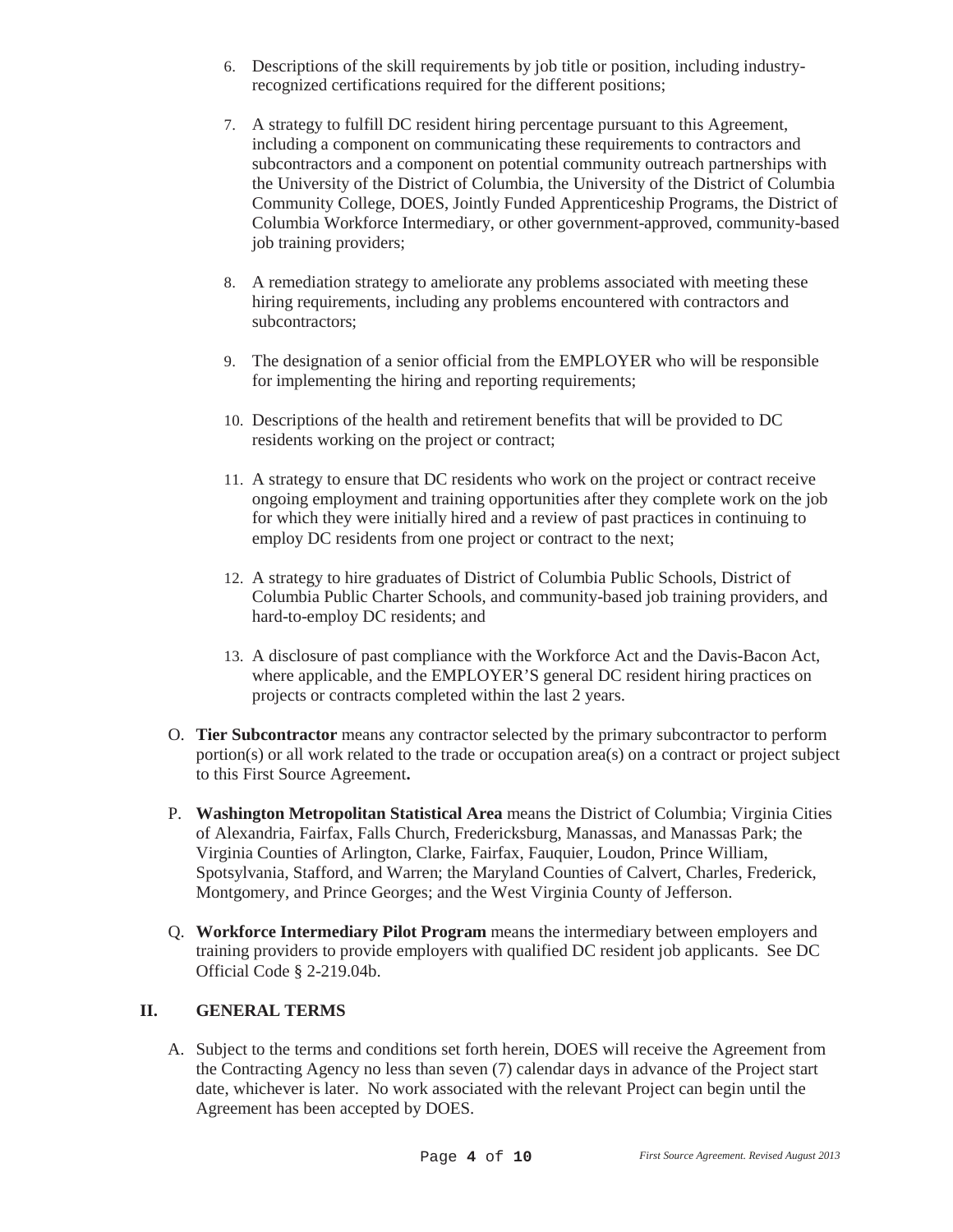- 6. Descriptions of the skill requirements by job title or position, including industryrecognized certifications required for the different positions;
- 7. A strategy to fulfill DC resident hiring percentage pursuant to this Agreement, including a component on communicating these requirements to contractors and subcontractors and a component on potential community outreach partnerships with the University of the District of Columbia, the University of the District of Columbia Community College, DOES, Jointly Funded Apprenticeship Programs, the District of Columbia Workforce Intermediary, or other government-approved, community-based job training providers;
- 8. A remediation strategy to ameliorate any problems associated with meeting these hiring requirements, including any problems encountered with contractors and subcontractors;
- 9. The designation of a senior official from the EMPLOYER who will be responsible for implementing the hiring and reporting requirements;
- 10. Descriptions of the health and retirement benefits that will be provided to DC residents working on the project or contract;
- 11. A strategy to ensure that DC residents who work on the project or contract receive ongoing employment and training opportunities after they complete work on the job for which they were initially hired and a review of past practices in continuing to employ DC residents from one project or contract to the next;
- 12. A strategy to hire graduates of District of Columbia Public Schools, District of Columbia Public Charter Schools, and community-based job training providers, and hard-to-employ DC residents; and
- 13. A disclosure of past compliance with the Workforce Act and the Davis-Bacon Act, where applicable, and the EMPLOYER'S general DC resident hiring practices on projects or contracts completed within the last 2 years.
- O. **Tier Subcontractor** means any contractor selected by the primary subcontractor to perform portion(s) or all work related to the trade or occupation area(s) on a contract or project subject to this First Source Agreement**.**
- P. **Washington Metropolitan Statistical Area** means the District of Columbia; Virginia Cities of Alexandria, Fairfax, Falls Church, Fredericksburg, Manassas, and Manassas Park; the Virginia Counties of Arlington, Clarke, Fairfax, Fauquier, Loudon, Prince William, Spotsylvania, Stafford, and Warren; the Maryland Counties of Calvert, Charles, Frederick, Montgomery, and Prince Georges; and the West Virginia County of Jefferson.
- Q. **Workforce Intermediary Pilot Program** means the intermediary between employers and training providers to provide employers with qualified DC resident job applicants. See DC Official Code § 2-219.04b.

#### **II. GENERAL TERMS**

A. Subject to the terms and conditions set forth herein, DOES will receive the Agreement from the Contracting Agency no less than seven (7) calendar days in advance of the Project start date, whichever is later. No work associated with the relevant Project can begin until the Agreement has been accepted by DOES.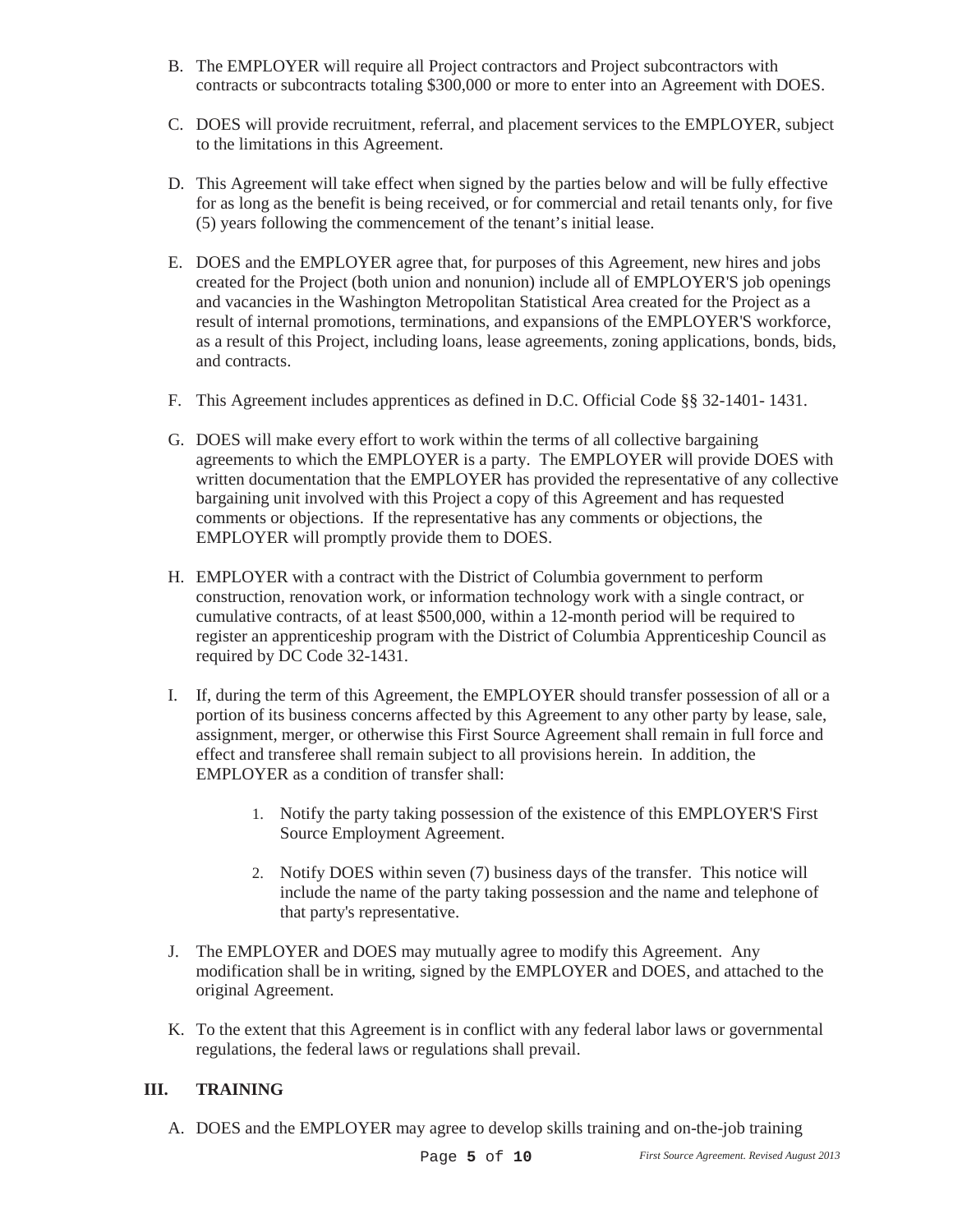- B. The EMPLOYER will require all Project contractors and Project subcontractors with contracts or subcontracts totaling \$300,000 or more to enter into an Agreement with DOES.
- C. DOES will provide recruitment, referral, and placement services to the EMPLOYER, subject to the limitations in this Agreement.
- D. This Agreement will take effect when signed by the parties below and will be fully effective for as long as the benefit is being received, or for commercial and retail tenants only, for five (5) years following the commencement of the tenant's initial lease.
- E. DOES and the EMPLOYER agree that, for purposes of this Agreement, new hires and jobs created for the Project (both union and nonunion) include all of EMPLOYER'S job openings and vacancies in the Washington Metropolitan Statistical Area created for the Project as a result of internal promotions, terminations, and expansions of the EMPLOYER'S workforce, as a result of this Project, including loans, lease agreements, zoning applications, bonds, bids, and contracts.
- F. This Agreement includes apprentices as defined in D.C. Official Code §§ 32-1401- 1431.
- G. DOES will make every effort to work within the terms of all collective bargaining agreements to which the EMPLOYER is a party. The EMPLOYER will provide DOES with written documentation that the EMPLOYER has provided the representative of any collective bargaining unit involved with this Project a copy of this Agreement and has requested comments or objections. If the representative has any comments or objections, the EMPLOYER will promptly provide them to DOES.
- H. EMPLOYER with a contract with the District of Columbia government to perform construction, renovation work, or information technology work with a single contract, or cumulative contracts, of at least \$500,000, within a 12-month period will be required to register an apprenticeship program with the District of Columbia Apprenticeship Council as required by DC Code 32-1431.
- I. If, during the term of this Agreement, the EMPLOYER should transfer possession of all or a portion of its business concerns affected by this Agreement to any other party by lease, sale, assignment, merger, or otherwise this First Source Agreement shall remain in full force and effect and transferee shall remain subject to all provisions herein. In addition, the EMPLOYER as a condition of transfer shall:
	- 1. Notify the party taking possession of the existence of this EMPLOYER'S First Source Employment Agreement.
	- 2. Notify DOES within seven (7) business days of the transfer. This notice will include the name of the party taking possession and the name and telephone of that party's representative.
- J. The EMPLOYER and DOES may mutually agree to modify this Agreement. Any modification shall be in writing, signed by the EMPLOYER and DOES, and attached to the original Agreement.
- K. To the extent that this Agreement is in conflict with any federal labor laws or governmental regulations, the federal laws or regulations shall prevail.

### **III. TRAINING**

A. DOES and the EMPLOYER may agree to develop skills training and on-the-job training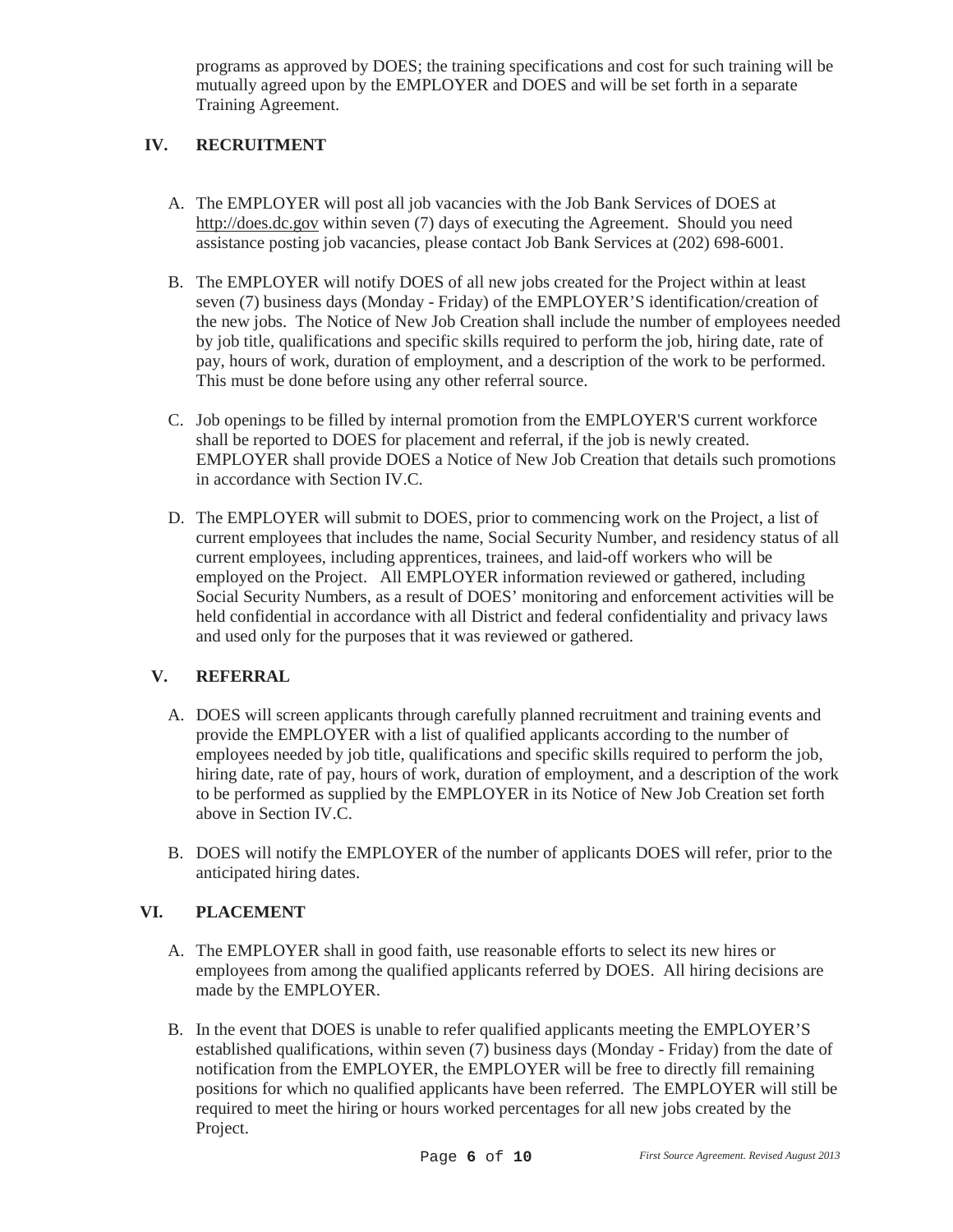programs as approved by DOES; the training specifications and cost for such training will be mutually agreed upon by the EMPLOYER and DOES and will be set forth in a separate Training Agreement.

# **IV. RECRUITMENT**

- A. The EMPLOYER will post all job vacancies with the Job Bank Services of DOES at http://does.dc.gov within seven (7) days of executing the Agreement. Should you need assistance posting job vacancies, please contact Job Bank Services at (202) 698-6001.
- B. The EMPLOYER will notify DOES of all new jobs created for the Project within at least seven (7) business days (Monday - Friday) of the EMPLOYER'S identification/creation of the new jobs. The Notice of New Job Creation shall include the number of employees needed by job title, qualifications and specific skills required to perform the job, hiring date, rate of pay, hours of work, duration of employment, and a description of the work to be performed. This must be done before using any other referral source.
- C. Job openings to be filled by internal promotion from the EMPLOYER'S current workforce shall be reported to DOES for placement and referral, if the job is newly created. EMPLOYER shall provide DOES a Notice of New Job Creation that details such promotions in accordance with Section IV.C.
- D. The EMPLOYER will submit to DOES, prior to commencing work on the Project, a list of current employees that includes the name, Social Security Number, and residency status of all current employees, including apprentices, trainees, and laid-off workers who will be employed on the Project. All EMPLOYER information reviewed or gathered, including Social Security Numbers, as a result of DOES' monitoring and enforcement activities will be held confidential in accordance with all District and federal confidentiality and privacy laws and used only for the purposes that it was reviewed or gathered.

### **V. REFERRAL**

- A. DOES will screen applicants through carefully planned recruitment and training events and provide the EMPLOYER with a list of qualified applicants according to the number of employees needed by job title, qualifications and specific skills required to perform the job, hiring date, rate of pay, hours of work, duration of employment, and a description of the work to be performed as supplied by the EMPLOYER in its Notice of New Job Creation set forth above in Section IV.C.
- B. DOES will notify the EMPLOYER of the number of applicants DOES will refer, prior to the anticipated hiring dates.

### **VI. PLACEMENT**

- A. The EMPLOYER shall in good faith, use reasonable efforts to select its new hires or employees from among the qualified applicants referred by DOES. All hiring decisions are made by the EMPLOYER.
- B. In the event that DOES is unable to refer qualified applicants meeting the EMPLOYER'S established qualifications, within seven (7) business days (Monday - Friday) from the date of notification from the EMPLOYER, the EMPLOYER will be free to directly fill remaining positions for which no qualified applicants have been referred. The EMPLOYER will still be required to meet the hiring or hours worked percentages for all new jobs created by the Project.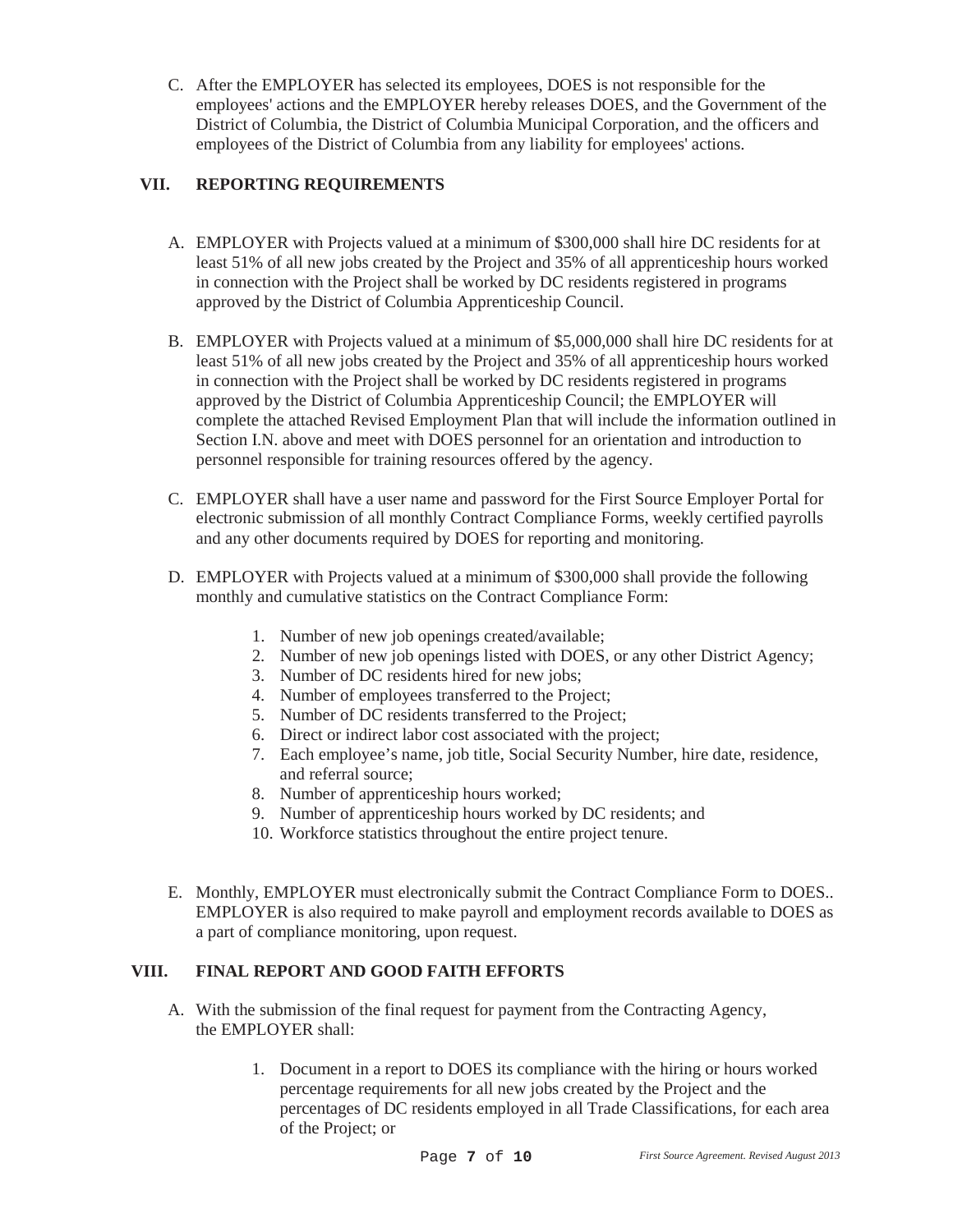C. After the EMPLOYER has selected its employees, DOES is not responsible for the employees' actions and the EMPLOYER hereby releases DOES, and the Government of the District of Columbia, the District of Columbia Municipal Corporation, and the officers and employees of the District of Columbia from any liability for employees' actions.

# **VII. REPORTING REQUIREMENTS**

- A. EMPLOYER with Projects valued at a minimum of \$300,000 shall hire DC residents for at least 51% of all new jobs created by the Project and 35% of all apprenticeship hours worked in connection with the Project shall be worked by DC residents registered in programs approved by the District of Columbia Apprenticeship Council.
- B. EMPLOYER with Projects valued at a minimum of \$5,000,000 shall hire DC residents for at least 51% of all new jobs created by the Project and 35% of all apprenticeship hours worked in connection with the Project shall be worked by DC residents registered in programs approved by the District of Columbia Apprenticeship Council; the EMPLOYER will complete the attached Revised Employment Plan that will include the information outlined in Section I.N. above and meet with DOES personnel for an orientation and introduction to personnel responsible for training resources offered by the agency.
- C. EMPLOYER shall have a user name and password for the First Source Employer Portal for electronic submission of all monthly Contract Compliance Forms, weekly certified payrolls and any other documents required by DOES for reporting and monitoring.
- D. EMPLOYER with Projects valued at a minimum of \$300,000 shall provide the following monthly and cumulative statistics on the Contract Compliance Form:
	- 1. Number of new job openings created/available;
	- 2. Number of new job openings listed with DOES, or any other District Agency;
	- 3. Number of DC residents hired for new jobs;
	- 4. Number of employees transferred to the Project;
	- 5. Number of DC residents transferred to the Project;
	- 6. Direct or indirect labor cost associated with the project;
	- 7. Each employee's name, job title, Social Security Number, hire date, residence, and referral source;
	- 8. Number of apprenticeship hours worked;
	- 9. Number of apprenticeship hours worked by DC residents; and
	- 10. Workforce statistics throughout the entire project tenure.
- E. Monthly, EMPLOYER must electronically submit the Contract Compliance Form to DOES.. EMPLOYER is also required to make payroll and employment records available to DOES as a part of compliance monitoring, upon request.

### **VIII. FINAL REPORT AND GOOD FAITH EFFORTS**

- A. With the submission of the final request for payment from the Contracting Agency, the EMPLOYER shall:
	- 1. Document in a report to DOES its compliance with the hiring or hours worked percentage requirements for all new jobs created by the Project and the percentages of DC residents employed in all Trade Classifications, for each area of the Project; or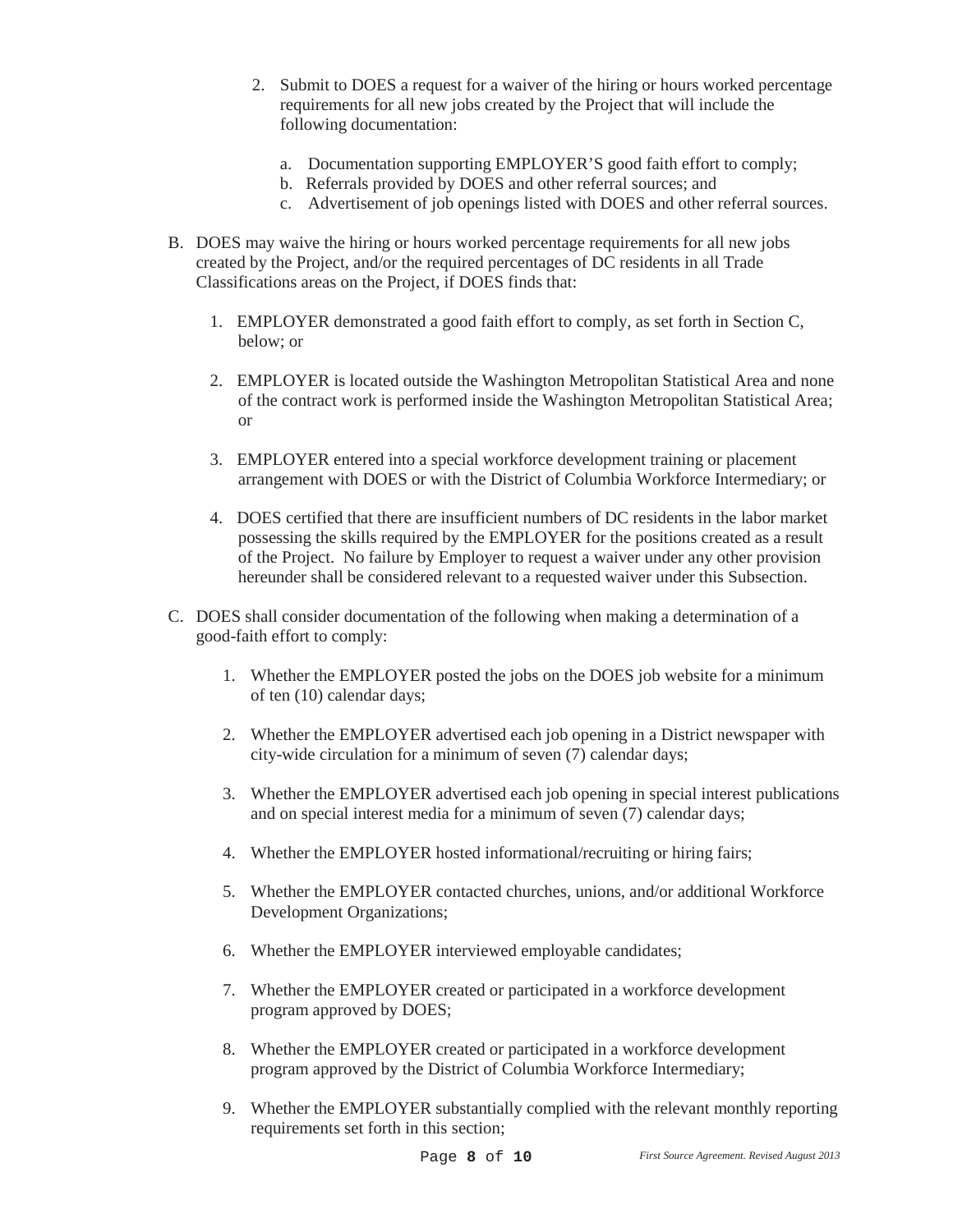- 2. Submit to DOES a request for a waiver of the hiring or hours worked percentage requirements for all new jobs created by the Project that will include the following documentation:
	- a. Documentation supporting EMPLOYER'S good faith effort to comply;
	- b. Referrals provided by DOES and other referral sources; and
	- c. Advertisement of job openings listed with DOES and other referral sources.
- B. DOES may waive the hiring or hours worked percentage requirements for all new jobs created by the Project, and/or the required percentages of DC residents in all Trade Classifications areas on the Project, if DOES finds that:
	- 1. EMPLOYER demonstrated a good faith effort to comply, as set forth in Section C, below; or
	- 2. EMPLOYER is located outside the Washington Metropolitan Statistical Area and none of the contract work is performed inside the Washington Metropolitan Statistical Area; or
	- 3. EMPLOYER entered into a special workforce development training or placement arrangement with DOES or with the District of Columbia Workforce Intermediary; or
	- 4. DOES certified that there are insufficient numbers of DC residents in the labor market possessing the skills required by the EMPLOYER for the positions created as a result of the Project. No failure by Employer to request a waiver under any other provision hereunder shall be considered relevant to a requested waiver under this Subsection.
- C. DOES shall consider documentation of the following when making a determination of a good-faith effort to comply:
	- 1. Whether the EMPLOYER posted the jobs on the DOES job website for a minimum of ten (10) calendar days;
	- 2. Whether the EMPLOYER advertised each job opening in a District newspaper with city-wide circulation for a minimum of seven (7) calendar days;
	- 3. Whether the EMPLOYER advertised each job opening in special interest publications and on special interest media for a minimum of seven (7) calendar days;
	- 4. Whether the EMPLOYER hosted informational/recruiting or hiring fairs;
	- 5. Whether the EMPLOYER contacted churches, unions, and/or additional Workforce Development Organizations;
	- 6. Whether the EMPLOYER interviewed employable candidates;
	- 7. Whether the EMPLOYER created or participated in a workforce development program approved by DOES;
	- 8. Whether the EMPLOYER created or participated in a workforce development program approved by the District of Columbia Workforce Intermediary;
	- 9. Whether the EMPLOYER substantially complied with the relevant monthly reporting requirements set forth in this section;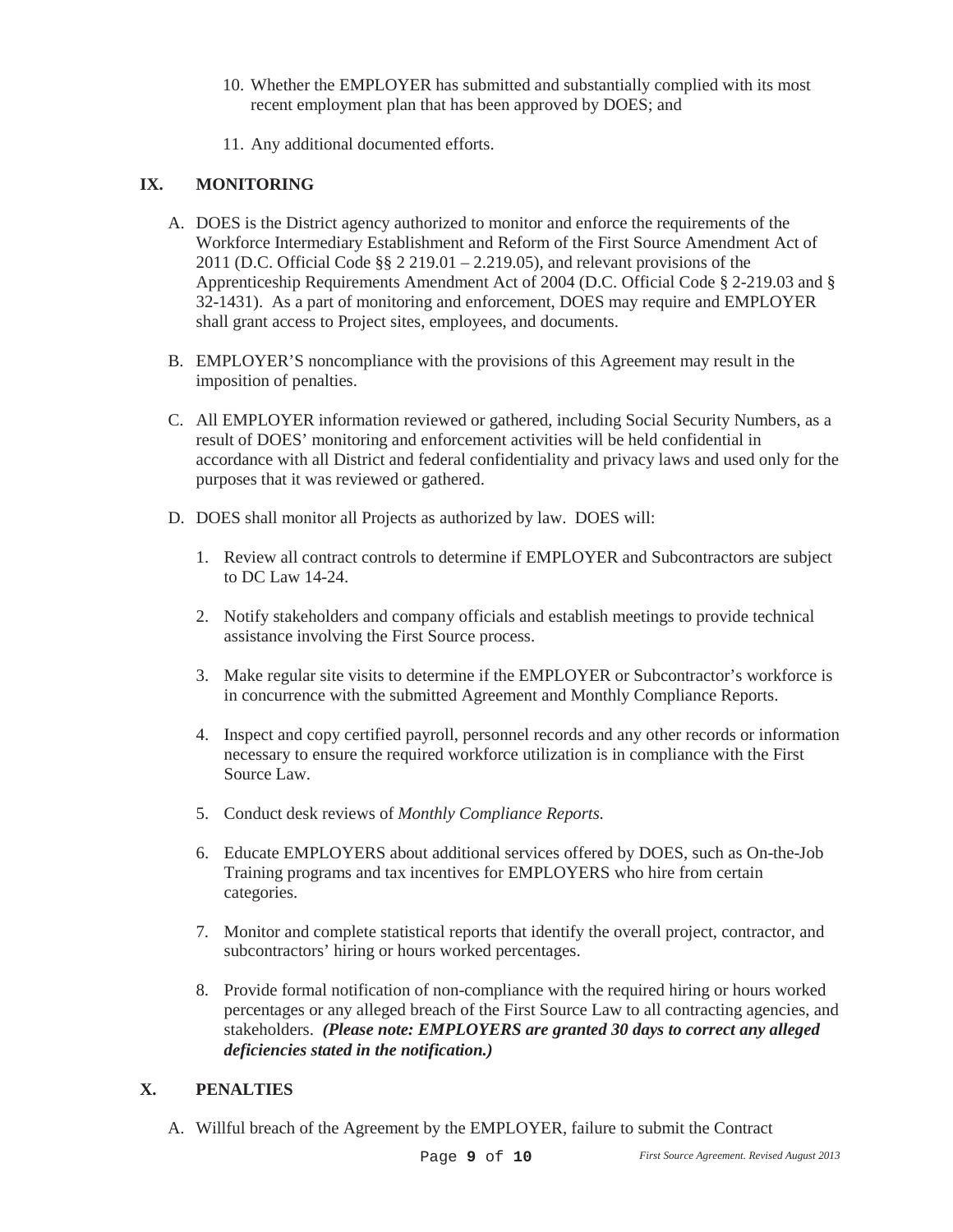- 10. Whether the EMPLOYER has submitted and substantially complied with its most recent employment plan that has been approved by DOES; and
- 11. Any additional documented efforts.

# **IX. MONITORING**

- A. DOES is the District agency authorized to monitor and enforce the requirements of the Workforce Intermediary Establishment and Reform of the First Source Amendment Act of 2011 (D.C. Official Code §§ 2 219.01 – 2.219.05), and relevant provisions of the Apprenticeship Requirements Amendment Act of 2004 (D.C. Official Code § 2-219.03 and § 32-1431). As a part of monitoring and enforcement, DOES may require and EMPLOYER shall grant access to Project sites, employees, and documents.
- B. EMPLOYER'S noncompliance with the provisions of this Agreement may result in the imposition of penalties.
- C. All EMPLOYER information reviewed or gathered, including Social Security Numbers, as a result of DOES' monitoring and enforcement activities will be held confidential in accordance with all District and federal confidentiality and privacy laws and used only for the purposes that it was reviewed or gathered.
- D. DOES shall monitor all Projects as authorized by law. DOES will:
	- 1. Review all contract controls to determine if EMPLOYER and Subcontractors are subject to DC Law 14-24.
	- 2. Notify stakeholders and company officials and establish meetings to provide technical assistance involving the First Source process.
	- 3. Make regular site visits to determine if the EMPLOYER or Subcontractor's workforce is in concurrence with the submitted Agreement and Monthly Compliance Reports.
	- 4. Inspect and copy certified payroll, personnel records and any other records or information necessary to ensure the required workforce utilization is in compliance with the First Source Law.
	- 5. Conduct desk reviews of *Monthly Compliance Reports*.
	- 6. Educate EMPLOYERS about additional services offered by DOES, such as On-the-Job Training programs and tax incentives for EMPLOYERS who hire from certain categories.
	- 7. Monitor and complete statistical reports that identify the overall project, contractor, and subcontractors' hiring or hours worked percentages.
	- 8. Provide formal notification of non-compliance with the required hiring or hours worked percentages or any alleged breach of the First Source Law to all contracting agencies, and stakeholders. *(Please note: EMPLOYERS are granted 30 days to correct any alleged deficiencies stated in the notification.)*

### **X. PENALTIES**

A. Willful breach of the Agreement by the EMPLOYER, failure to submit the Contract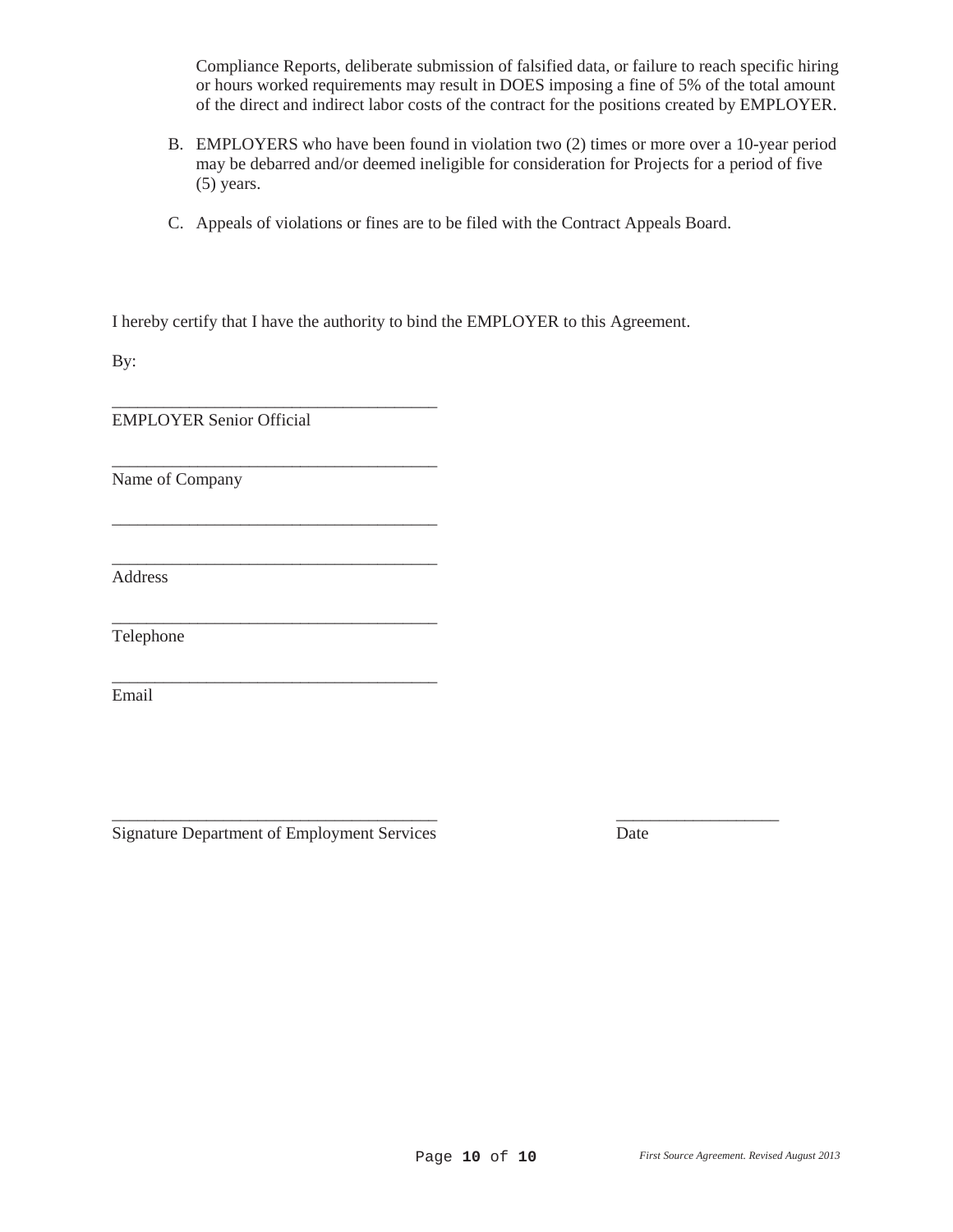Compliance Reports, deliberate submission of falsified data, or failure to reach specific hiring or hours worked requirements may result in DOES imposing a fine of 5% of the total amount of the direct and indirect labor costs of the contract for the positions created by EMPLOYER.

- B. EMPLOYERS who have been found in violation two (2) times or more over a 10-year period may be debarred and/or deemed ineligible for consideration for Projects for a period of five (5) years.
- C. Appeals of violations or fines are to be filed with the Contract Appeals Board.

 $\overline{\phantom{a}}$  , and the contract of the contract of the contract of the contract of the contract of the contract of the contract of the contract of the contract of the contract of the contract of the contract of the contrac

\_\_\_\_\_\_\_\_\_\_\_\_\_\_\_\_\_\_\_\_\_\_\_\_\_\_\_\_\_\_\_\_\_\_\_\_\_\_ \_\_\_\_\_\_\_\_\_\_\_\_\_\_\_\_\_\_\_

I hereby certify that I have the authority to bind the EMPLOYER to this Agreement.

By:

EMPLOYER Senior Official

\_\_\_\_\_\_\_\_\_\_\_\_\_\_\_\_\_\_\_\_\_\_\_\_\_\_\_\_\_\_\_\_\_\_\_\_\_\_

\_\_\_\_\_\_\_\_\_\_\_\_\_\_\_\_\_\_\_\_\_\_\_\_\_\_\_\_\_\_\_\_\_\_\_\_\_\_

\_\_\_\_\_\_\_\_\_\_\_\_\_\_\_\_\_\_\_\_\_\_\_\_\_\_\_\_\_\_\_\_\_\_\_\_\_\_

\_\_\_\_\_\_\_\_\_\_\_\_\_\_\_\_\_\_\_\_\_\_\_\_\_\_\_\_\_\_\_\_\_\_\_\_\_\_

\_\_\_\_\_\_\_\_\_\_\_\_\_\_\_\_\_\_\_\_\_\_\_\_\_\_\_\_\_\_\_\_\_\_\_\_\_\_

Name of Company

Address

Telephone

Email

Signature Department of Employment Services Date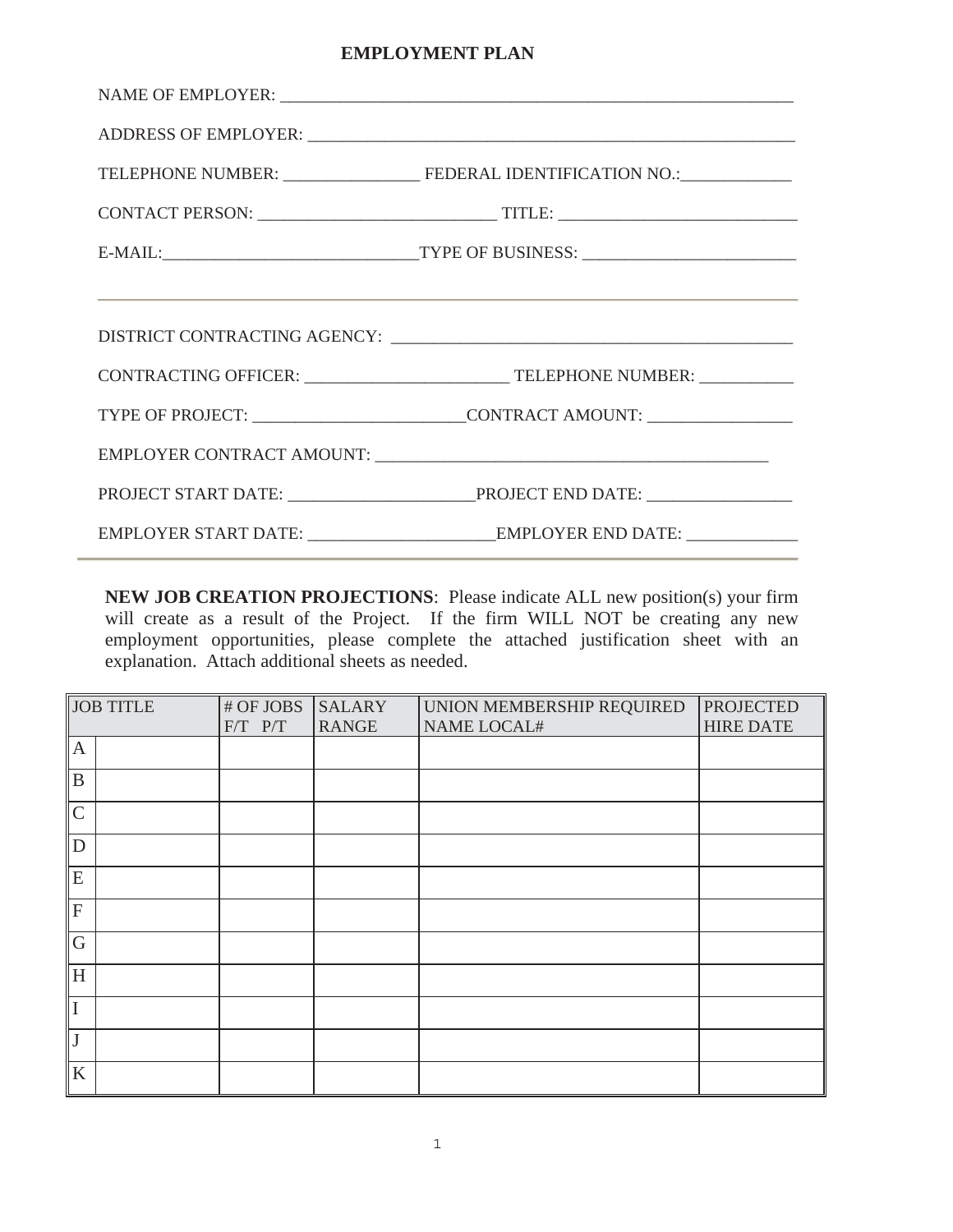### **EMPLOYMENT PLAN**

| $\label{eq:naive} \begin{minipage}{0.9\linewidth} \textbf{NAME OF EMPLOYER: } \begin{tabular}{ c c c } \hline \multicolumn{3}{ c }{\textbf{NAME OF EMPLOYER:}} \end{tabular} \end{minipage}$ |
|----------------------------------------------------------------------------------------------------------------------------------------------------------------------------------------------|
|                                                                                                                                                                                              |
|                                                                                                                                                                                              |
|                                                                                                                                                                                              |
|                                                                                                                                                                                              |
| <u> 1999 - Johann John Harry Harry Harry Harry Harry Harry Harry Harry Harry Harry Harry Harry Harry Harry Harry H</u>                                                                       |
|                                                                                                                                                                                              |
|                                                                                                                                                                                              |
| TYPE OF PROJECT: ______________________________CONTRACT AMOUNT: _________________                                                                                                            |
|                                                                                                                                                                                              |
|                                                                                                                                                                                              |
|                                                                                                                                                                                              |

**NEW JOB CREATION PROJECTIONS**: Please indicate ALL new position(s) your firm will create as a result of the Project. If the firm WILL NOT be creating any new employment opportunities, please complete the attached justification sheet with an explanation. Attach additional sheets as needed.

| <b>JOB TITLE</b>          | # OF JOBS   | <b>SALARY</b> | UNION MEMBERSHIP REQUIRED | <b>PROJECTED</b> |
|---------------------------|-------------|---------------|---------------------------|------------------|
|                           | $F/T$ $P/T$ | <b>RANGE</b>  | <b>NAME LOCAL#</b>        | <b>HIRE DATE</b> |
| $\mathbf{A}$              |             |               |                           |                  |
| B                         |             |               |                           |                  |
| $\mathsf{C}$              |             |               |                           |                  |
| D                         |             |               |                           |                  |
| ${\bf E}$                 |             |               |                           |                  |
| $\boldsymbol{\mathrm{F}}$ |             |               |                           |                  |
| $\mathbf G$               |             |               |                           |                  |
| H                         |             |               |                           |                  |
| I                         |             |               |                           |                  |
| $\mathbf{J}$              |             |               |                           |                  |
| K                         |             |               |                           |                  |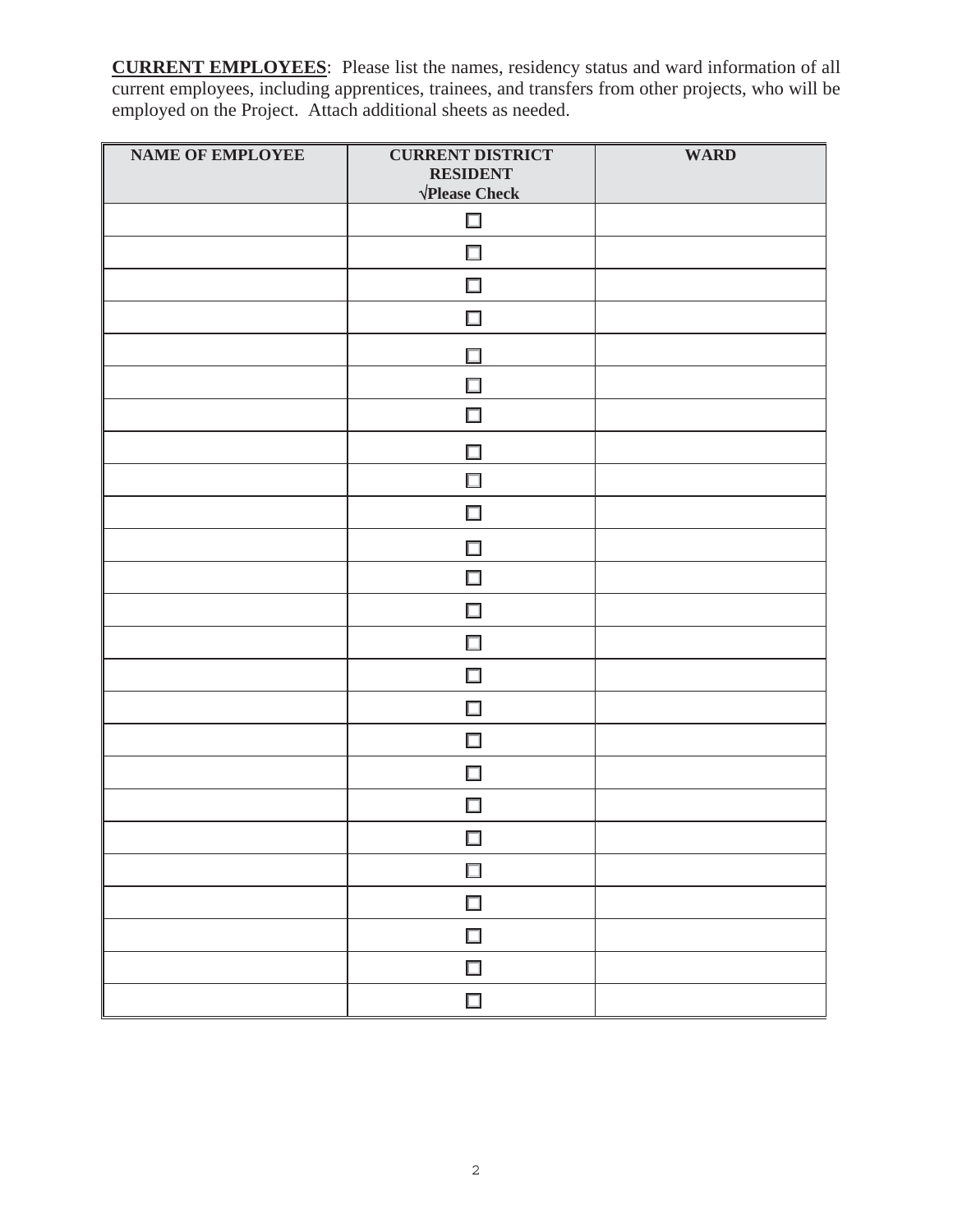**CURRENT EMPLOYEES**: Please list the names, residency status and ward information of all current employees, including apprentices, trainees, and transfers from other projects, who will be employed on the Project. Attach additional sheets as needed.

| <b>NAME OF EMPLOYEE</b> | <b>CURRENT DISTRICT</b><br><b>RESIDENT</b><br>$\sqrt{\text{Please Check}}$ | <b>WARD</b> |
|-------------------------|----------------------------------------------------------------------------|-------------|
|                         | $\Box$                                                                     |             |
|                         | $\Box$                                                                     |             |
|                         | $\Box$                                                                     |             |
|                         | $\Box$                                                                     |             |
|                         | $\Box$                                                                     |             |
|                         | □                                                                          |             |
|                         | $\Box$                                                                     |             |
|                         | $\Box$                                                                     |             |
|                         | □                                                                          |             |
|                         | $\Box$                                                                     |             |
|                         | $\Box$                                                                     |             |
|                         | $\Box$                                                                     |             |
|                         | $\Box$                                                                     |             |
|                         | $\Box$                                                                     |             |
|                         | $\Box$                                                                     |             |
|                         | $\Box$                                                                     |             |
|                         | $\Box$                                                                     |             |
|                         | $\Box$                                                                     |             |
|                         | $\Box$                                                                     |             |
|                         | $\Box$                                                                     |             |
|                         | $\Box$                                                                     |             |
|                         | $\Box$                                                                     |             |
|                         | $\Box$                                                                     |             |
|                         | $\Box$                                                                     |             |
|                         | $\Box$                                                                     |             |